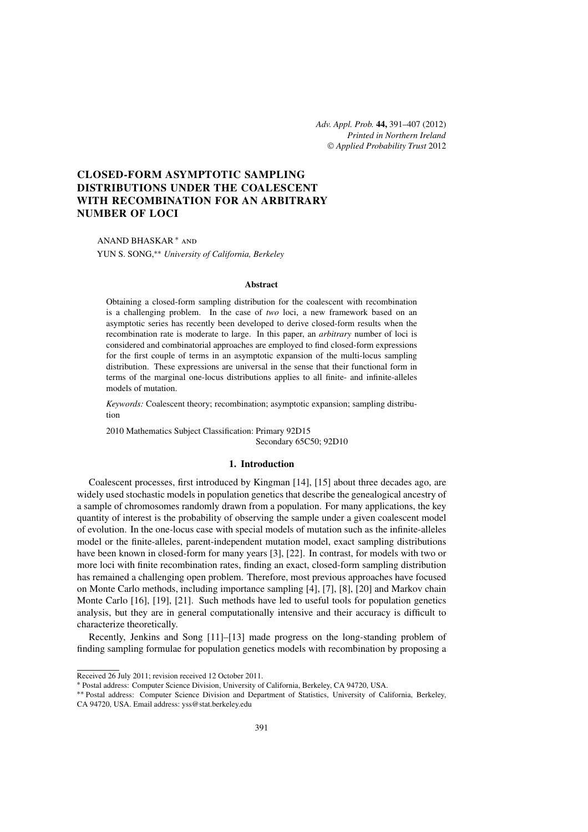*Adv. Appl. Prob.* **44,** 391[–407](#page-16-0) (2012) *Printed in Northern Ireland* © *[Applied Probability Trust](http://www.appliedprobability.org)* 2012

# **CLOSED-FORM ASYMPTOTIC SAMPLING DISTRIBUTIONS UNDER THE COALESCENT WITH RECOMBINATION FOR AN ARBITRARY NUMBER OF LOCI**

# ANAND BHASKAR <sup>∗</sup> and

YUN S. SONG,∗∗ *University of California, Berkeley*

#### **Abstract**

Obtaining a closed-form sampling distribution for the coalescent with recombination is a challenging problem. In the case of *two* loci, a new framework based on an asymptotic series has recently been developed to derive closed-form results when the recombination rate is moderate to large. In this paper, an *arbitrary* number of loci is considered and combinatorial approaches are employed to find closed-form expressions for the first couple of terms in an asymptotic expansion of the multi-locus sampling distribution. These expressions are universal in the sense that their functional form in terms of the marginal one-locus distributions applies to all finite- and infinite-alleles models of mutation.

*Keywords:* Coalescent theory; recombination; asymptotic expansion; sampling distribution

2010 Mathematics Subject Classification: Primary 92D15 Secondary 65C50; 92D10

# **1. Introduction**

Coalescent processes, first introduced by Kingman [\[14\]](#page-16-0), [\[15\]](#page-16-0) about three decades ago, are widely used stochastic models in population genetics that describe the genealogical ancestry of a sample of chromosomes randomly drawn from a population. For many applications, the key quantity of interest is the probability of observing the sample under a given coalescent model of evolution. In the one-locus case with special models of mutation such as the infinite-alleles model or the finite-alleles, parent-independent mutation model, exact sampling distributions have been known in closed-form for many years [\[3\]](#page-16-0), [\[22\]](#page-16-0). In contrast, for models with two or more loci with finite recombination rates, finding an exact, closed-form sampling distribution has remained a challenging open problem. Therefore, most previous approaches have focused on Monte Carlo methods, including importance sampling [\[4\]](#page-16-0), [\[7\]](#page-16-0), [\[8\]](#page-16-0), [\[20\]](#page-16-0) and Markov chain Monte Carlo [\[16\]](#page-16-0), [\[19\]](#page-16-0), [\[21\]](#page-16-0). Such methods have led to useful tools for population genetics analysis, but they are in general computationally intensive and their accuracy is difficult to characterize theoretically.

Recently, Jenkins and Song [\[11\]](#page-16-0)–[\[13\]](#page-16-0) made progress on the long-standing problem of finding sampling formulae for population genetics models with recombination by proposing a

Received 26 July 2011; revision received 12 October 2011.

<sup>∗</sup> Postal address: Computer Science Division, University of California, Berkeley, CA 94720, USA.

<sup>∗∗</sup> Postal address: Computer Science Division and Department of Statistics, University of California, Berkeley, CA 94720, USA. Email address: [yss@stat.berkeley.edu](mailto:yss@stat.berkeley.edu?subject=Adv. Appl. Prob.%20paper%2014074)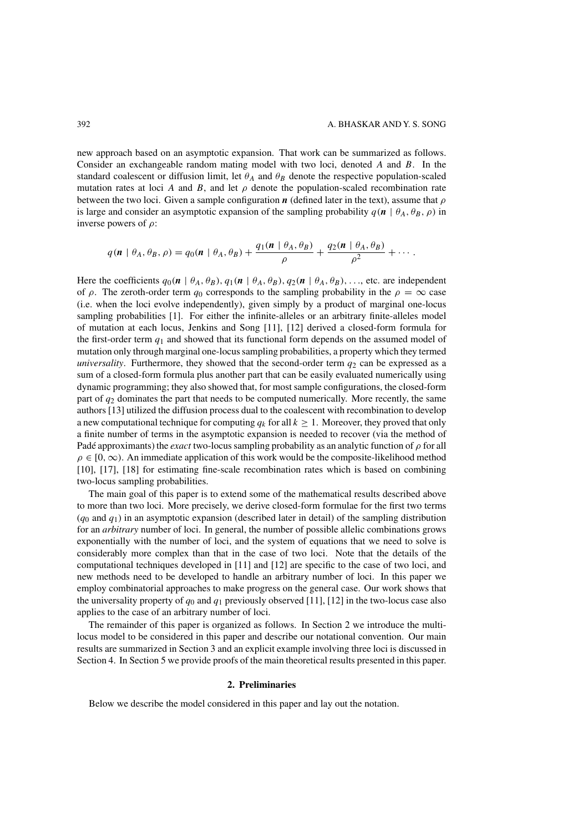new approach based on an asymptotic expansion. That work can be summarized as follows. Consider an exchangeable random mating model with two loci, denoted *A* and *B*. In the standard coalescent or diffusion limit, let  $\theta_A$  and  $\theta_B$  denote the respective population-scaled mutation rates at loci *A* and *B*, and let  $\rho$  denote the population-scaled recombination rate between the two loci. Given a sample configuration *<sup>n</sup>* (defined later in the text), assume that *ρ* is large and consider an asymptotic expansion of the sampling probability  $q(n | \theta_A, \theta_B, \rho)$  in inverse powers of *ρ*:

$$
q(\mathbf{n} \mid \theta_A, \theta_B, \rho) = q_0(\mathbf{n} \mid \theta_A, \theta_B) + \frac{q_1(\mathbf{n} \mid \theta_A, \theta_B)}{\rho} + \frac{q_2(\mathbf{n} \mid \theta_A, \theta_B)}{\rho^2} + \cdots
$$

Here the coefficients  $q_0(\mathbf{n} \mid \theta_A, \theta_B), q_1(\mathbf{n} \mid \theta_A, \theta_B), q_2(\mathbf{n} \mid \theta_A, \theta_B), \ldots$ , etc. are independent of *ρ*. The zeroth-order term *q*<sub>0</sub> corresponds to the sampling probability in the *ρ* = ∞ case (i.e. when the loci evolve independently), given simply by a product of marginal one-locus sampling probabilities [\[1\]](#page-16-0). For either the infinite-alleles or an arbitrary finite-alleles model of mutation at each locus, Jenkins and Song [\[11\]](#page-16-0), [\[12\]](#page-16-0) derived a closed-form formula for the first-order term  $q_1$  and showed that its functional form depends on the assumed model of mutation only through marginal one-locus sampling probabilities, a property which they termed *universality*. Furthermore, they showed that the second-order term  $q_2$  can be expressed as a sum of a closed-form formula plus another part that can be easily evaluated numerically using dynamic programming; they also showed that, for most sample configurations, the closed-form part of *<sup>q</sup>*<sup>2</sup> dominates the part that needs to be computed numerically. More recently, the same authors [\[13\]](#page-16-0) utilized the diffusion process dual to the coalescent with recombination to develop a new computational technique for computing  $q_k$  for all  $k > 1$ . Moreover, they proved that only a finite number of terms in the asymptotic expansion is needed to recover (via the method of Padé approximants) the *exact* two-locus sampling probability as an analytic function of *ρ* for all  $\rho \in [0, \infty)$ . An immediate application of this work would be the composite-likelihood method [\[10\]](#page-16-0), [\[17\]](#page-16-0), [\[18\]](#page-16-0) for estimating fine-scale recombination rates which is based on combining two-locus sampling probabilities.

The main goal of this paper is to extend some of the mathematical results described above to more than two loci. More precisely, we derive closed-form formulae for the first two terms  $(q_0$  and  $q_1)$  in an asymptotic expansion (described later in detail) of the sampling distribution for an *arbitrary* number of loci. In general, the number of possible allelic combinations grows exponentially with the number of loci, and the system of equations that we need to solve is considerably more complex than that in the case of two loci. Note that the details of the computational techniques developed in [\[11\]](#page-16-0) and [\[12\]](#page-16-0) are specific to the case of two loci, and new methods need to be developed to handle an arbitrary number of loci. In this paper we employ combinatorial approaches to make progress on the general case. Our work shows that the universality property of  $q_0$  and  $q_1$  previously observed [\[11\]](#page-16-0), [\[12\]](#page-16-0) in the two-locus case also applies to the case of an arbitrary number of loci.

The remainder of this paper is organized as follows. In Section 2 we introduce the multilocus model to be considered in this paper and describe our notational convention. Our main results are summarized in Section [3](#page-4-0) and an explicit example involving three loci is discussed in Section [4.](#page-6-0) In Section [5](#page-8-0) we provide proofs of the main theoretical results presented in this paper.

## **2. Preliminaries**

Below we describe the model considered in this paper and lay out the notation.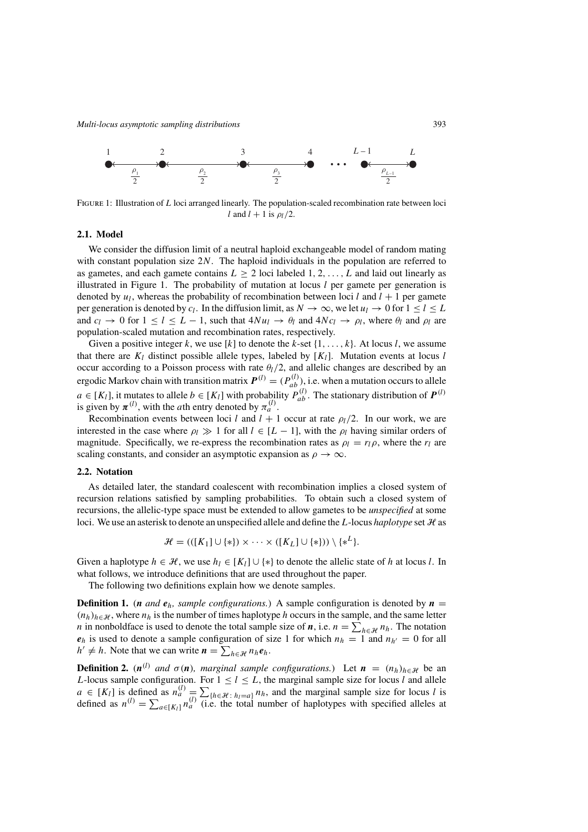

Figure 1: Illustration of *L* loci arranged linearly. The population-scaled recombination rate between loci *l* and  $l + 1$  is  $\rho_l/2$ .

# **2.1. Model**

We consider the diffusion limit of a neutral haploid exchangeable model of random mating with constant population size 2*N*. The haploid individuals in the population are referred to as gametes, and each gamete contains  $L > 2$  loci labeled 1, 2,  $\ldots$ , L and laid out linearly as illustrated in Figure 1. The probability of mutation at locus *l* per gamete per generation is denoted by  $u_l$ , whereas the probability of recombination between loci *l* and  $l + 1$  per gamete per generation is denoted by  $c_l$ . In the diffusion limit, as  $N \to \infty$ , we let  $u_l \to 0$  for  $1 \leq l \leq L$ and  $c_l \to 0$  for  $1 \le l \le L - 1$ , such that  $4Nu_l \to \theta_l$  and  $4Ne_l \to \rho_l$ , where  $\theta_l$  and  $\rho_l$  are population-scaled mutation and recombination rates, respectively.

Given a positive integer *k*, we use [*k*] to denote the *k*-set  $\{1, \ldots, k\}$ . At locus *l*, we assume that there are  $K_l$  distinct possible allele types, labeled by  $K_l$ . Mutation events at locus *l* occur according to a Poisson process with rate  $\theta_l/2$ , and allelic changes are described by an ergodic Markov chain with transition matrix  $P^{(l)} = (P^{(l)}_{ab})$ , i.e. when a mutation occurs to allele  $a \in [K_l]$ , it mutates to allele  $b \in [K_l]$  with probability  $P_{ab}^{(l)}$ . The stationary distribution of  $P^{(l)}$  is given by  $\pi^{(l)}$  with the *a*th entry denoted by  $\pi^{(l)}$ is given by  $\pi^{(l)}$ , with the *a*th entry denoted by  $\pi^{(l)}_a$ .<br> **Recombination** events between loci *l* and *l* + 1

Recombination events between loci *l* and  $l + 1$  occur at rate  $\rho_l/2$ . In our work, we are interested in the case where  $\rho_l \gg 1$  for all  $l \in [L-1]$ , with the  $\rho_l$  having similar orders of magnitude. Specifically, we re-express the recombination rates as  $\rho_l = r_l \rho$ , where the  $r_l$  are scaling constants, and consider an asymptotic expansion as  $\rho \to \infty$ .

#### **2.2. Notation**

As detailed later, the standard coalescent with recombination implies a closed system of recursion relations satisfied by sampling probabilities. To obtain such a closed system of recursions, the allelic-type space must be extended to allow gametes to be *unspecified* at some loci. We use an asterisk to denote an unspecified allele and define the L-locus *haplotype* set H as

$$
\mathcal{H} = (([K_1] \cup \{*\}) \times \cdots \times ([K_L] \cup \{*\})) \setminus \{*\^L\}.
$$

Given a haplotype  $h \in \mathcal{H}$ , we use  $h_l \in [K_l] \cup \{*\}$  to denote the allelic state of h at locus l. In what follows, we introduce definitions that are used throughout the paper.

The following two definitions explain how we denote samples.

**Definition 1.** (*n* and  $e_h$ , *sample configurations.*) A sample configuration is denoted by  $n =$  $(n_h)_{h \in \mathcal{H}}$ , where  $n_h$  is the number of times haplotype *h* occurs in the sample, and the same letter *n* in nonboldface is used to denote the total sample size of *n*, i.e.  $n = \sum_{h \in \mathcal{H}} n_h$ . The notation  $\rho_h$  is used to denote a sample configuration of size 1 for which  $n_h = 1$  and  $n_H = 0$  for all  $e_h$  is used to denote a sample configuration of size 1 for which  $n_h = 1$  and  $n_{h'} = 0$  for all  $h' \neq h$ . Note that we can write  $n = \sum_{h \in \mathcal{H}} n_h e_h$ .

**Definition 2.**  $(n^{(l)}$  *and*  $\sigma(n)$ *, marginal sample configurations.*) Let  $n = (n_h)_{h \in \mathcal{H}}$  be an *L*-locus sample configuration. For  $1 \le l \le L$ , the marginal sample size for locus *l* and allele *a* ∈ [*K<sub>l</sub>*] is defined as  $n_a^{(l)} = \sum_{h \in \mathcal{H} : h_l = a} n_h$ , and the marginal sample size for locus *l* is defined as  $n_a^{(l)} = \sum_{h \in \mathcal{H} : h_l = a} n_h^{(l)}$  (i.e. the total number of handotypes with specified alleles at defined as  $n^{(l)} = \sum_{a \in [K_l]} n_a^{(l)}$  (i.e. the total number of haplotypes with specified alleles at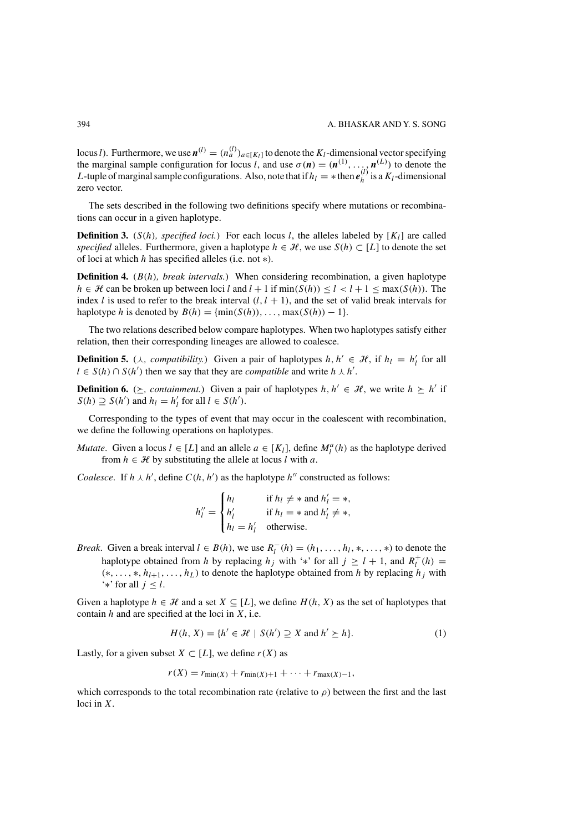<span id="page-3-0"></span>locus *l*). Furthermore, we use  $\mathbf{n}^{(l)} = (n_a^{(l)})_{a \in [K_l]}$  to denote the  $K_l$ -dimensional vector specifying the marginal sample configuration for locus *l* and use  $\sigma(\mathbf{n}) = (\mathbf{n}^{(1)} - \mathbf{n}^{(L)})$  to denote the the marginal sample configuration for locus *l*, and use  $\sigma(n) = (n^{(1)}, \ldots, n^{(L)})$  to denote the *L*-tuple of marginal sample configurations. Also note that if  $h_i = *$  then  $e^{(l)}$  is a *K<sub>1</sub>*-dimensional *L*-tuple of marginal sample configurations. Also, note that if  $h_l = *$  then  $e_h^{(l)}$  is a  $K_l$ -dimensional zero vector zero vector.

The sets described in the following two definitions specify where mutations or recombinations can occur in a given haplotype.

**Definition 3.** ( $S(h)$ *, specified loci.*) For each locus *l*, the alleles labeled by  $[K_l]$  are called *specified* alleles. Furthermore, given a haplotype  $h \in \mathcal{H}$ , we use  $S(h) \subset [L]$  to denote the set of loci at which *h* has specified alleles (i.e. not <sup>∗</sup>).

**Definition 4.** (*B(h), break intervals.*) When considering recombination, a given haplotype *h* ∈ *H* can be broken up between loci *l* and  $l + 1$  if min $(S(h)) \le l < l + 1 \le max(S(h))$ . The index *l* is used to refer to the break interval  $(l, l + 1)$ , and the set of valid break intervals for haplotype *h* is denoted by  $B(h) = \{\min(S(h)), \ldots, \max(S(h)) - 1\}.$ 

The two relations described below compare haplotypes. When two haplotypes satisfy either relation, then their corresponding lineages are allowed to coalesce.

**Definition 5.** ( $\lambda$ , compatibility.) Given a pair of haplotypes  $h, h' \in \mathcal{H}$ , if  $h_l = h'_l$  for all  $l \in S(h) \cap S(h')$  then we say that they are compatible and write  $h \lambda h'$  $l \in S(h) \cap S(h')$  then we say that they are *compatible* and write  $h \wedge h'$ .

**Definition 6.** ( $\geq$ , containment.) Given a pair of haplotypes  $h, h' \in \mathcal{H}$ , we write  $h \geq h'$  if  $S(h) \supseteq S(h')$  and  $h_l = h'_l$  for all  $l \in S(h')$ .

Corresponding to the types of event that may occur in the coalescent with recombination, we define the following operations on haplotypes.

*Mutate.* Given a locus  $l \in [L]$  and an allele  $a \in [K_l]$ , define  $M_l^a(h)$  as the haplotype derived from  $h \in \mathcal{H}$  by substituting the allele at locus *l* with *a* from  $h \in \mathcal{H}$  by substituting the allele at locus *l* with *a*.

*Coalesce.* If  $h \wedge h'$ , define  $C(h, h')$  as the haplotype  $h''$  constructed as follows:

$$
h''_l = \begin{cases} h_l & \text{if } h_l \neq * \text{ and } h'_l = *, \\ h'_l & \text{if } h_l = * \text{ and } h'_l \neq *, \\ h_l = h'_l & \text{otherwise.} \end{cases}
$$

*Break.* Given a break interval  $l \in B(h)$ , we use  $R_l^-(h) = (h_1, \ldots, h_l, *, \ldots, *)$  to denote the happening obtained from *h* by replacing *h*  $\cdot$  with '\*' for all  $i > l + 1$  and  $R^+(h)$ haplotype obtained from *h* by replacing  $h_j$  with '\*' for all  $j \ge l + 1$ , and  $R_l^+(h) =$ <br>
(\* \*  $h_{l+1}$  *h<sub>l</sub>*) to denote the haplotype obtained from *h* by replacing *h i* with  $(*, \ldots, *, h_{l+1}, \ldots, h_L)$  to denote the haplotype obtained from *h* by replacing *h<sub>j</sub>* with '∗' for all *j* <sup>≤</sup> *l*.

Given a haplotype  $h \in \mathcal{H}$  and a set  $X \subseteq [L]$ , we define  $H(h, X)$  as the set of haplotypes that contain *h* and are specified at the loci in *X*, i.e.

$$
H(h, X) = \{ h' \in \mathcal{H} \mid S(h') \supseteq X \text{ and } h' \succeq h \}. \tag{1}
$$

Lastly, for a given subset *X* ⊂ [*L*], we define *r*(*X*) as

$$
r(X) = r_{\min(X)} + r_{\min(X)+1} + \cdots + r_{\max(X)-1},
$$

which corresponds to the total recombination rate (relative to  $\rho$ ) between the first and the last loci in *X*.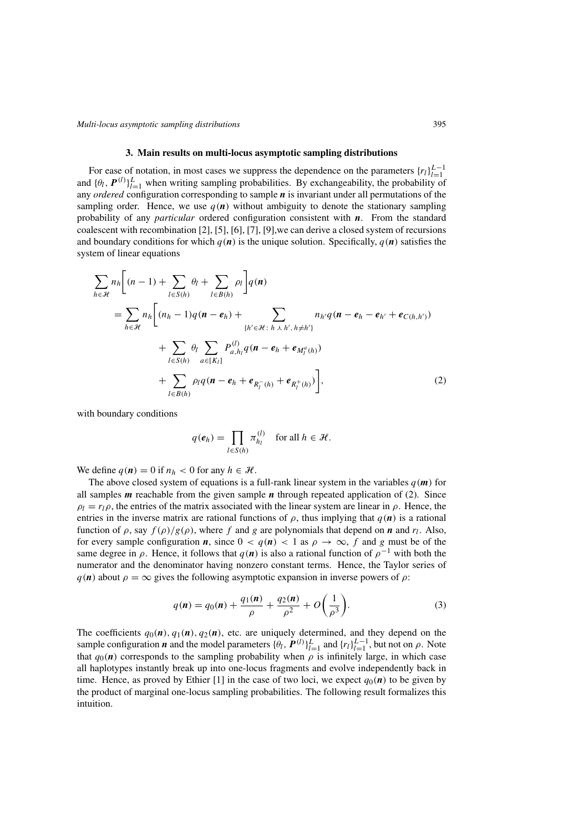## **3. Main results on multi-locus asymptotic sampling distributions**

<span id="page-4-0"></span>For ease of notation, in most cases we suppress the dependence on the parameters  ${r_l}_{l=1}^{L-1}$ <br>*LA*  $\boldsymbol{p}(l)$   $L$  when writing sampling probabilities. By exchangeability the probability of For ease of initiation, in most cases we suppress the dependence on the parameters  $\{t_l\}_{l=1}^T$  and  $\{\theta_l, \mathbf{P}^{(l)}\}_{l=1}^L$  when writing sampling probabilities. By exchangeability, the probability of any *ordered* con any *ordered* configuration corresponding to sample *n* is invariant under all permutations of the sampling order. Hence, we use  $q(n)$  without ambiguity to denote the stationary sampling probability of any *particular* ordered configuration consistent with *n*. From the standard coalescent with recombination [\[2\]](#page-16-0), [\[5\]](#page-16-0), [\[6\]](#page-16-0), [\[7\]](#page-16-0), [\[9\]](#page-16-0),we can derive a closed system of recursions and boundary conditions for which  $q(n)$  is the unique solution. Specifically,  $q(n)$  satisfies the system of linear equations

$$
\sum_{h \in \mathcal{H}} n_h \Bigg[ (n-1) + \sum_{l \in S(h)} \theta_l + \sum_{l \in B(h)} \rho_l \Bigg] q(n)
$$
\n
$$
= \sum_{h \in \mathcal{H}} n_h \Bigg[ (n_h - 1)q(n - e_h) + \sum_{\{h' \in \mathcal{H} : h \perp h', h \neq h'\}} n_{h'} q(n - e_h - e_{h'} + e_{C(h, h')}) + \sum_{l \in S(h)} \theta_l \sum_{a \in [K_l]} P_{a, h_l}^{(l)} q(n - e_h + e_{M_l^a(h)}) + \sum_{l \in B(h)} \rho_l q(n - e_h + e_{R_l^-(h)} + e_{R_l^+(h)}) \Bigg], \tag{2}
$$

with boundary conditions

$$
q(e_h) = \prod_{l \in S(h)} \pi_{h_l}^{(l)} \quad \text{for all } h \in \mathcal{H}.
$$

We define  $q(n) = 0$  if  $n_h < 0$  for any  $h \in \mathcal{H}$ .

The above closed system of equations is a full-rank linear system in the variables  $q(m)$  for all samples *m* reachable from the given sample *n* through repeated application of (2). Since  $\rho_l = r_l \rho$ , the entries of the matrix associated with the linear system are linear in  $\rho$ . Hence, the entries in the inverse matrix are rational functions of  $\rho$ , thus implying that  $q(n)$  is a rational function of  $\rho$ , say  $f(\rho)/g(\rho)$ , where f and g are polynomials that depend on *n* and  $r_l$ . Also, for every sample configuration *n*, since  $0 < q(n) < 1$  as  $\rho \to \infty$ , f and g must be of the same degree in  $\rho$ . Hence, it follows that  $q(n)$  is also a rational function of  $\rho^{-1}$  with both the numerator and the denominator having nonzero constant terms. Hence, the Taylor series of  $q(n)$  about  $\rho = \infty$  gives the following asymptotic expansion in inverse powers of  $\rho$ :

$$
q(\mathbf{n}) = q_0(\mathbf{n}) + \frac{q_1(\mathbf{n})}{\rho} + \frac{q_2(\mathbf{n})}{\rho^2} + O\left(\frac{1}{\rho^3}\right).
$$
 (3)

The coefficients  $q_0(\mathbf{n})$ ,  $q_1(\mathbf{n})$ ,  $q_2(\mathbf{n})$ , etc. are uniquely determined, and they depend on the sample configuration  $\mathbf{n}$  and the model parameters  $\{\theta_i, \mathbf{p}^{(l)}\}^L$  and  $\{r_i\}^{L-1}$  but not on a. Note sample configuration *n* and the model parameters  $\{\theta_l, \mathbf{P}^{(l)}\}_{l=1}^L$  and  $\{r_l\}_{l=1}^{L-1}$ , but not on  $\rho$ . Note that  $q_0(n)$  corresponds to the sampling probability when  $\rho$  is infinitely large, in which case all haplotypes instantly break up into one-locus fragments and evolve independently back in time. Hence, as proved by Ethier [\[1\]](#page-16-0) in the case of two loci, we expect  $q_0(n)$  to be given by the product of marginal one-locus sampling probabilities. The following result formalizes this intuition.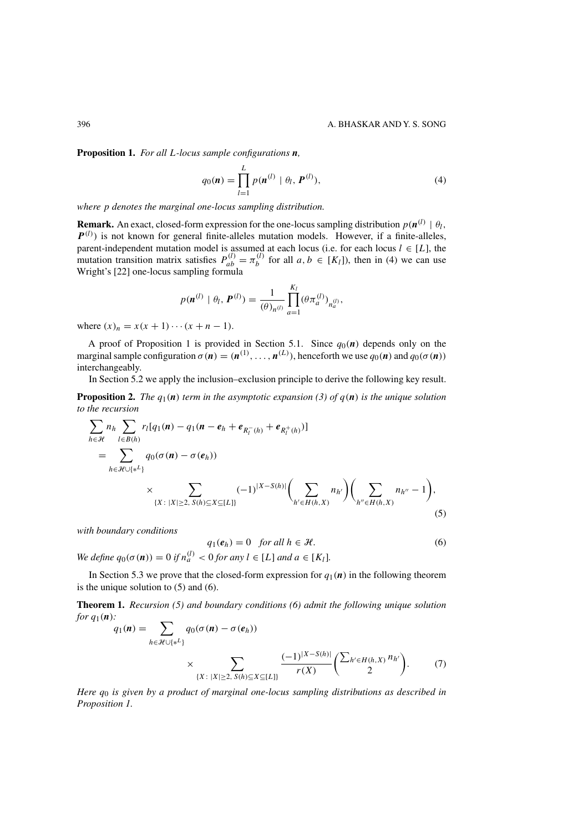<span id="page-5-0"></span>**Proposition 1.** *For all L-locus sample configurations <sup>n</sup>,*

$$
q_0(\mathbf{n}) = \prod_{l=1}^{L} p(\mathbf{n}^{(l)} \mid \theta_l, \mathbf{P}^{(l)}),
$$
 (4)

*where p denotes the marginal one-locus sampling distribution.*

**Remark.** An exact, closed-form expression for the one-locus sampling distribution  $p(n^{(l)} | \theta_l, P^{(l)})$  is not known for general finite-alleles mutation models. However, if a finite-alleles,  $P^{(l)}$ ) is not known for general finite-alleles mutation models. However, if a finite-alleles, parent-independent mutation model is assumed at each locus (i.e. for each locus  $l \in [l]$ ) the parent-independent mutation model is assumed at each locus (i.e. for each locus *l* ∈ [*L*], the mutation transition matrix satisfies  $P^{(l)} - \pi^{(l)}$  for all *a b* ∈ [*K*<sub>*i*</sub>]) then in (*A*) we can use mutation transition matrix satisfies  $P_{ab}^{(l)} = \pi_b^{(l)}$  for all  $a, b \in [K_l]$ ), then in (4) we can use Wright's [22] one-locus sampling formula Wright's [\[22\]](#page-16-0) one-locus sampling formula

$$
p(\mathbf{n}^{(l)} \mid \theta_l, \mathbf{P}^{(l)}) = \frac{1}{(\theta)_{n^{(l)}}} \prod_{a=1}^{K_l} (\theta \pi_a^{(l)})_{n_a^{(l)}},
$$

where  $(x)_n = x(x + 1) \cdots (x + n - 1)$ .<br>A proof of Proposition 1 is provided in Section 5.1. Since  $q_0(n)$  depends only on the A proof of Proposition [1](#page-4-0) is provided in Section [5.1.](#page-8-0) Since  $q_0(n)$  depends only on the rainal sample configuration  $\sigma(n) = (n^{(1)} - n^{(L)})$  beneforth we use  $q_0(n)$  and  $q_0(\sigma(n))$ marginal sample configuration  $\sigma(\mathbf{n}) = (\mathbf{n}^{(1)}, \dots, \mathbf{n}^{(L)})$ , henceforth we use  $q_0(\mathbf{n})$  and  $q_0(\sigma(\mathbf{n}))$  interchangeably interchangeably.

In Section [5.2](#page-9-0) we apply the inclusion–exclusion principle to derive the following key result.

**Proposition 2.** The  $q_1(n)$  term in the asymptotic expansion [\(3\)](#page-4-0) of  $q(n)$  is the unique solution *to the recursion*

$$
\sum_{h \in \mathcal{H}} n_h \sum_{l \in B(h)} r_l [q_1(\mathbf{n}) - q_1(\mathbf{n} - \mathbf{e}_h + \mathbf{e}_{R_l^-(h)} + \mathbf{e}_{R_l^+(h)})]
$$
\n
$$
= \sum_{h \in \mathcal{H} \cup \{*^L\}} q_0(\sigma(\mathbf{n}) - \sigma(\mathbf{e}_h))
$$
\n
$$
\times \sum_{\{X : |X| \ge 2, S(h) \subseteq X \subseteq [L]\}} (-1)^{|X - S(h)|} \left( \sum_{h' \in H(h,X)} n_{h'} \right) \left( \sum_{h'' \in H(h,X)} n_{h''} - 1 \right),
$$

*with boundary conditions*

$$
q_1(e_h) = 0 \quad \text{for all } h \in \mathcal{H}.
$$

(5)

*We define*  $q_0(\sigma(\mathbf{n})) = 0$  *if*  $n_a^{(l)} < 0$  *for any*  $l \in [L]$  *and*  $a \in [K_l]$ *.* 

In Section [5.3](#page-13-0) we prove that the closed-form expression for  $q_1(n)$  in the following theorem is the unique solution to  $(5)$  and  $(6)$ .

**Theorem 1.** *Recursion (5) and boundary conditions (6) admit the following unique solution for <sup>q</sup>*1*(n):*

$$
q_1(\mathbf{n}) = \sum_{h \in \mathcal{H} \cup \{\mathbf{x}^L\}} q_0(\sigma(\mathbf{n}) - \sigma(e_h))
$$
  
 
$$
\times \sum_{\{X : \ |X| \ge 2, \ S(h) \subseteq X \subseteq [L]\}} \frac{(-1)^{|X - S(h)|}}{r(X)} \left( \frac{\sum_{h' \in H(h,X)} n_{h'}}{2} \right). \tag{7}
$$

*Here <sup>q</sup>*<sup>0</sup> *is given by a product of marginal one-locus sampling distributions as described in Proposition [1.](#page-4-0)*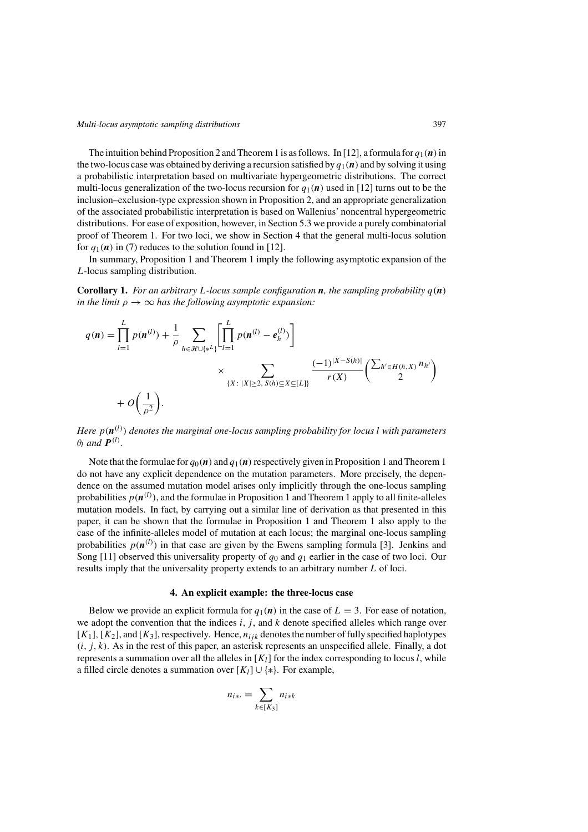<span id="page-6-0"></span>The intuition behind Proposition [2](#page-5-0) and Theorem [1](#page-5-0) is as follows. In [\[12\]](#page-16-0), a formula for  $q_1(\bf{n})$  in the two-locus case was obtained by deriving a recursion satisfied by  $q_1(\bf{n})$  and by solving it using a probabilistic interpretation based on multivariate hypergeometric distributions. The correct multi-locus generalization of the two-locus recursion for  $q_1(n)$  used in [\[12\]](#page-16-0) turns out to be the inclusion–exclusion-type expression shown in Proposition [2,](#page-5-0) and an appropriate generalization of the associated probabilistic interpretation is based on Wallenius' noncentral hypergeometric distributions. For ease of exposition, however, in Section [5.3](#page-13-0) we provide a purely combinatorial proof of Theorem [1.](#page-5-0) For two loci, we show in Section 4 that the general multi-locus solution for  $q_1(n)$  in [\(7\)](#page-5-0) reduces to the solution found in [\[12\]](#page-16-0).

In summary, Proposition [1](#page-4-0) and Theorem [1](#page-5-0) imply the following asymptotic expansion of the *L*-locus sampling distribution.

**Corollary 1.** For an arbitrary L-locus sample configuration **n**, the sampling probability  $q(n)$ *in the limit*  $\rho \rightarrow \infty$  *has the following asymptotic expansion:* 

$$
q(\mathbf{n}) = \prod_{l=1}^{L} p(\mathbf{n}^{(l)}) + \frac{1}{\rho} \sum_{h \in \mathcal{H} \cup \{*\}} \left[ \prod_{l=1}^{L} p(\mathbf{n}^{(l)} - e_h^{(l)}) \right] \times \sum_{\{X : |X| \ge 2, S(h) \subseteq X \subseteq [L]\}} \frac{(-1)^{|X - S(h)|}}{r(X)} \left( \frac{\sum_{h' \in H(h, X)} n_{h'}}{2} \right)
$$

*Here p(n(l)) denotes the marginal one-locus sampling probability for locus l with parameters*  $\theta_l$  *and*  $P^{(l)}$ *.* 

Note that the formulae for  $q_0(\bf{n})$  and  $q_1(\bf{n})$  respectively given in Proposition [1](#page-5-0) and Theorem 1 do not have any explicit dependence on the mutation parameters. More precisely, the dependence on the assumed mutation model arises only implicitly through the one-locus sampling probabilities  $p(n^{(l)})$ , and the formulae in Proposition [1](#page-5-0) and Theorem 1 apply to all finite-alleles mutation models. In fact, by carrying out a similar line of derivation as that presented in this paper, it can be shown that the formulae in Proposition [1](#page-4-0) and Theorem [1](#page-5-0) also apply to the case of the infinite-alleles model of mutation at each locus; the marginal one-locus sampling probabilities  $p(n^{(l)})$  in that case are given by the Ewens sampling formula [\[3\]](#page-16-0). Jenkins and Song [\[11\]](#page-16-0) observed this universality property of  $q_0$  and  $q_1$  earlier in the case of two loci. Our results imply that the universality property extends to an arbitrary number *L* of loci.

## **4. An explicit example: the three-locus case**

Below we provide an explicit formula for  $q_1(n)$  in the case of  $L = 3$ . For ease of notation, we adopt the convention that the indices *i, j* , and *k* denote specified alleles which range over  $[K_1]$ ,  $[K_2]$ , and  $[K_3]$ , respectively. Hence,  $n_{ijk}$  denotes the number of fully specified haplotypes  $(i, j, k)$ . As in the rest of this paper, an asterisk represents an unspecified allele. Finally, a dot represents a summation over all the alleles in  $[K_l]$  for the index corresponding to locus *l*, while a filled circle denotes a summation over  $[K_l] \cup \{*\}$ . For example,

$$
n_{i*} = \sum_{k \in [K_3]} n_{i*}
$$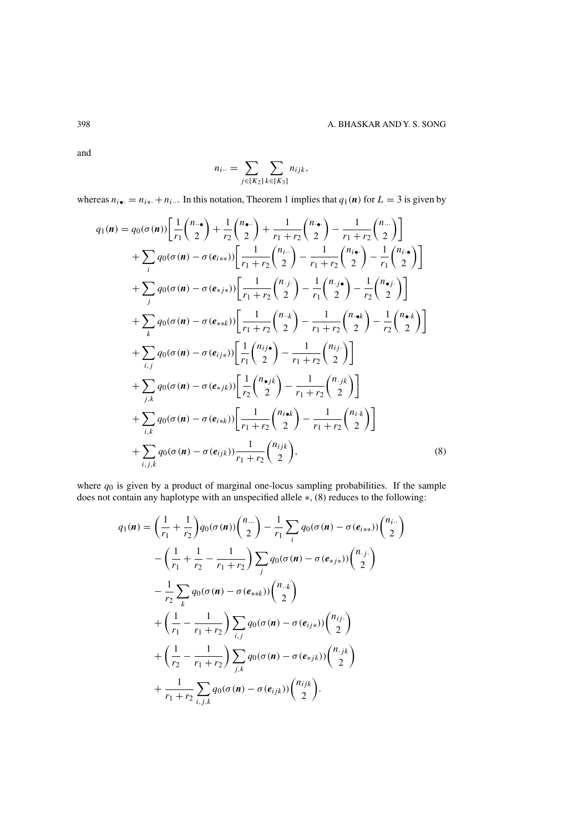and

$$
n_{i\cdot\cdot} = \sum_{j \in [K_2]} \sum_{k \in [K_3]} n_{ijk},
$$

whereas  $n_{i\bullet} = n_{i\ast} + n_{i\cdots}$  In this notation, Theorem [1](#page-5-0) implies that  $q_1(n)$  for  $L = 3$  is given by

$$
q_{1}(\mathbf{n}) = q_{0}(\sigma(\mathbf{n})) \left[ \frac{1}{r_{1}} {n_{1} \choose 2} + \frac{1}{r_{2}} {n_{2} \choose 2} + \frac{1}{r_{1} + r_{2}} {n_{2} \choose 2} - \frac{1}{r_{1} + r_{2}} {n_{2} \choose 2} \right] + \sum_{i} q_{0}(\sigma(\mathbf{n}) - \sigma(e_{i**})) \left[ \frac{1}{r_{1} + r_{2}} {n_{i} \choose 2} - \frac{1}{r_{1} + r_{2}} {n_{i} \choose 2} - \frac{1}{r_{1}} {n_{i} \choose 2} \right] + \sum_{j} q_{0}(\sigma(\mathbf{n}) - \sigma(e_{*j*})) \left[ \frac{1}{r_{1} + r_{2}} {n_{j} \choose 2} - \frac{1}{r_{1}} {n_{j} \choose 2} - \frac{1}{r_{2}} {n_{\bullet} \choose 2} \right] + \sum_{k} q_{0}(\sigma(\mathbf{n}) - \sigma(e_{**k})) \left[ \frac{1}{r_{1} + r_{2}} {n_{-k} \choose 2} - \frac{1}{r_{1} + r_{2}} {n_{-k} \choose 2} - \frac{1}{r_{2}} {n_{\bullet} \choose 2} \right] + \sum_{i,j} q_{0}(\sigma(\mathbf{n}) - \sigma(e_{ijs})) \left[ \frac{1}{r_{1}} {n_{j} \choose 2} - \frac{1}{r_{1} + r_{2}} {n_{j} \choose 2} \right] + \sum_{j,k} q_{0}(\sigma(\mathbf{n}) - \sigma(e_{*jk})) \left[ \frac{1}{r_{2}} {n_{-k} \choose 2} - \frac{1}{r_{1} + r_{2}} {n_{j} \choose 2} \right] + \sum_{i,k} q_{0}(\sigma(\mathbf{n}) - \sigma(e_{i*k})) \left[ \frac{1}{r_{1} + r_{2}} {n_{i \bullet k} \choose 2} - \frac{1}{r_{1} + r_{2}} {n_{i \bullet k} \choose 2} \right] + \sum_{i,j,k} q_{0}(\sigma(\mathbf{n}) - \sigma(e_{ijk})) \frac{1}{r_{1} + r_{2}} {n_{j \bullet k} \choose 2}, \qquad (8)
$$

where  $q_0$  is given by a product of marginal one-locus sampling probabilities. If the sample does not contain any haplotype with an unspecified allele ∗, (8) reduces to the following:

$$
q_{1}(\boldsymbol{n}) = \left(\frac{1}{r_{1}} + \frac{1}{r_{2}}\right) q_{0}(\sigma(\boldsymbol{n})) \left(\frac{n_{...}}{2}\right) - \frac{1}{r_{1}} \sum_{i} q_{0}(\sigma(\boldsymbol{n}) - \sigma(e_{i**})) \left(\frac{n_{i}..}{2}\right)
$$

$$
- \left(\frac{1}{r_{1}} + \frac{1}{r_{2}} - \frac{1}{r_{1} + r_{2}}\right) \sum_{j} q_{0}(\sigma(\boldsymbol{n}) - \sigma(e_{*j*})) \left(\frac{n_{.j}}{2}\right)
$$

$$
- \frac{1}{r_{2}} \sum_{k} q_{0}(\sigma(\boldsymbol{n}) - \sigma(e_{**k})) \left(\frac{n_{.k}}{2}\right)
$$

$$
+ \left(\frac{1}{r_{1}} - \frac{1}{r_{1} + r_{2}}\right) \sum_{i,j} q_{0}(\sigma(\boldsymbol{n}) - \sigma(e_{ij*})) \left(\frac{n_{ij}..}{2}\right)
$$

$$
+ \left(\frac{1}{r_{2}} - \frac{1}{r_{1} + r_{2}}\right) \sum_{j,k} q_{0}(\sigma(\boldsymbol{n}) - \sigma(e_{*jk})) \left(\frac{n_{.jk}}{2}\right)
$$

$$
+ \frac{1}{r_{1} + r_{2}} \sum_{i,j,k} q_{0}(\sigma(\boldsymbol{n}) - \sigma(e_{ijk})) \left(\frac{n_{ijk}}{2}\right).
$$

<span id="page-7-0"></span>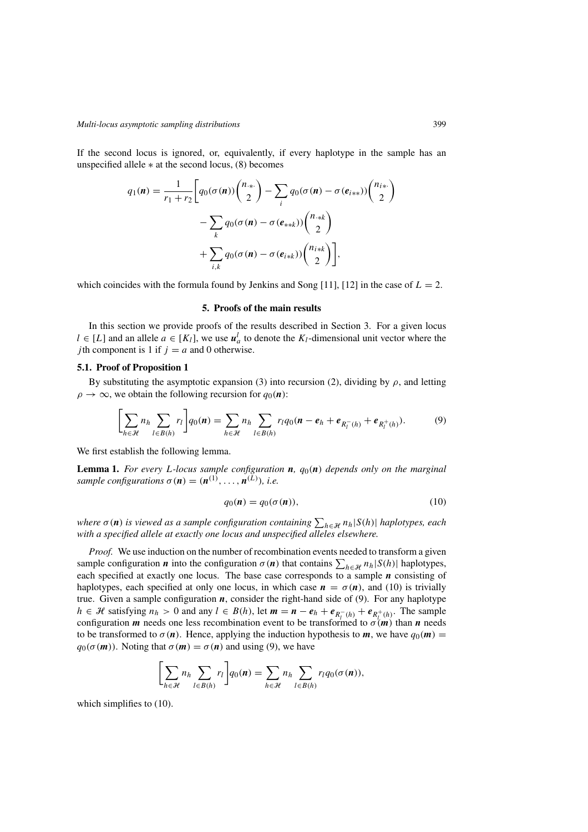<span id="page-8-0"></span>If the second locus is ignored, or, equivalently, if every haplotype in the sample has an unspecified allele  $*$  at the second locus,  $(8)$  becomes

$$
q_1(\mathbf{n}) = \frac{1}{r_1 + r_2} \Bigg[ q_0(\sigma(\mathbf{n})) \binom{n_{\ast}}{2} - \sum_i q_0(\sigma(\mathbf{n}) - \sigma(e_{i\ast\ast})) \binom{n_{i\ast}}{2} - \sum_k q_0(\sigma(\mathbf{n}) - \sigma(e_{\ast\ast k})) \binom{n_{\ast\ast k}}{2} + \sum_{i,k} q_0(\sigma(\mathbf{n}) - \sigma(e_{i\ast k})) \binom{n_{i\ast k}}{2} \Bigg],
$$

which coincides with the formula found by Jenkins and Song [\[11\]](#page-16-0), [\[12\]](#page-16-0) in the case of  $L = 2$ .

## **5. Proofs of the main results**

In this section we provide proofs of the results described in Section [3.](#page-4-0) For a given locus *l* ∈ [*L*] and an allele *a* ∈ [*K<sub>l</sub>*], we use  $u^l_a$  to denote the *K<sub>l</sub>*-dimensional unit vector where the *i*th component is 1 if *i* − *a* and 0 otherwise *j* th component is 1 if  $j = a$  and 0 otherwise.

#### **5.1. Proof of Proposition [1](#page-4-0)**

By substituting the asymptotic expansion [\(3\)](#page-4-0) into recursion [\(2\)](#page-4-0), dividing by  $\rho$ , and letting  $\rho \rightarrow \infty$ , we obtain the following recursion for  $q_0(\mathbf{n})$ :

$$
\left[\sum_{h \in \mathcal{H}} n_h \sum_{l \in B(h)} r_l \right] q_0(n) = \sum_{h \in \mathcal{H}} n_h \sum_{l \in B(h)} r_l q_0(n - e_h + e_{R_l^-(h)} + e_{R_l^+(h)}).
$$
 (9)

We first establish the following lemma.

**Lemma 1.** *For every L-locus sample configuration <sup>n</sup>, q*0*(n) depends only on the marginal sample configurations*  $\sigma(n) = (n^{(1)}, \ldots, n^{(L)})$ *, i.e.* 

$$
q_0(\mathbf{n}) = q_0(\sigma(\mathbf{n})),\tag{10}
$$

*where*  $\sigma(n)$  is viewed as a sample configuration containing  $\sum_{h \in \mathcal{H}} n_h |S(h)|$  haplotypes, each with a specified alleles elsewhere *with a specified allele at exactly one locus and unspecified alleles elsewhere.*

*Proof.* We use induction on the number of recombination events needed to transform a given sample configuration *n* into the configuration  $\sigma(n)$  that contains  $\sum_{h \in \mathcal{H}} n_h |S(h)|$  haplotypes, each specified at exactly one locus. The base case corresponds to a sample *n* consisting of each specified at exactly one locus. The base case corresponds to a sample *n* consisting of haplotypes, each specified at only one locus, in which case  $n = \sigma(n)$ , and (10) is trivially true. Given a sample configuration *n*, consider the right-hand side of (9). For any haplotype *h* ∈ *H* satisfying  $n_h > 0$  and any  $l \text{ } \in B(h)$ , let  $m = n - e_h + e_{R_l^-}(h) + e_{R_l^+}(h)$ . The sample configuration *m* needs one less recombination event to be transformed to  $\sigma(m)$  than *n* needs configuration *m* needs one less recombination event to be transformed to  $\sigma(m)$  than *n* needs to be transformed to  $\sigma(n)$ . Hence, applying the induction hypothesis to *m*, we have  $q_0(m)$  =  $q_0(\sigma(m))$ . Noting that  $\sigma(m) = \sigma(n)$  and using (9), we have

$$
\left[\sum_{h\in\mathcal{H}}n_h\sum_{l\in B(h)}r_l\right]q_0(n)=\sum_{h\in\mathcal{H}}n_h\sum_{l\in B(h)}r_lq_0(\sigma(n)),
$$

which simplifies to  $(10)$ .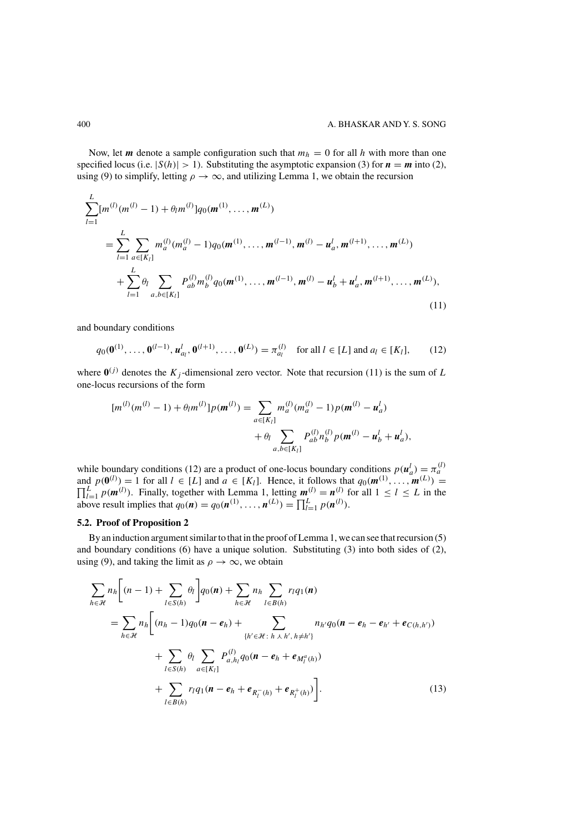<span id="page-9-0"></span>Now, let *m* denote a sample configuration such that  $m_h = 0$  for all *h* with more than one specified locus (i.e.  $|S(h)| > 1$ ). Substituting the asymptotic expansion [\(3\)](#page-4-0) for  $n = m$  into [\(2\)](#page-4-0), using [\(9\)](#page-8-0) to simplify, letting  $\rho \to \infty$ , and utilizing Lemma [1,](#page-8-0) we obtain the recursion

$$
\sum_{l=1}^{L} [m^{(l)}(m^{(l)} - 1) + \theta_l m^{(l)}] q_0(\mathbf{m}^{(1)}, \dots, \mathbf{m}^{(L)})
$$
\n
$$
= \sum_{l=1}^{L} \sum_{a \in [K_l]} m_a^{(l)}(m_a^{(l)} - 1) q_0(\mathbf{m}^{(1)}, \dots, \mathbf{m}^{(l-1)}, \mathbf{m}^{(l)} - \mathbf{u}_a^l, \mathbf{m}^{(l+1)}, \dots, \mathbf{m}^{(L)})
$$
\n
$$
+ \sum_{l=1}^{L} \theta_l \sum_{a, b \in [K_l]} P_{ab}^{(l)} m_b^{(l)} q_0(\mathbf{m}^{(1)}, \dots, \mathbf{m}^{(l-1)}, \mathbf{m}^{(l)} - \mathbf{u}_b^l + \mathbf{u}_a^l, \mathbf{m}^{(l+1)}, \dots, \mathbf{m}^{(L)}),
$$
\n(11)

and boundary conditions

$$
q_0(\mathbf{0}^{(1)},\ldots,\mathbf{0}^{(l-1)},\mathbf{u}_{a_l}^l,\mathbf{0}^{(l+1)},\ldots,\mathbf{0}^{(L)}) = \pi_{a_l}^{(l)} \quad \text{for all } l \in [L] \text{ and } a_l \in [K_l], \qquad (12)
$$

where  $\mathbf{0}^{(j)}$  denotes the *K<sub>j</sub>*-dimensional zero vector. Note that recursion (11) is the sum of *L* one-locus recursions of the form

$$
[m^{(l)}(m^{(l)}-1)+\theta_l m^{(l)}]p(\mathbf{m}^{(l)}) = \sum_{a \in [K_l]} m_a^{(l)}(m_a^{(l)}-1)p(\mathbf{m}^{(l)}-\mathbf{u}_a^l) + \theta_l \sum_{a,b \in [K_l]} P_{ab}^{(l)} n_b^{(l)} p(\mathbf{m}^{(l)}-\mathbf{u}_b^l+\mathbf{u}_a^l),
$$

while boundary conditions (12) are a product of one-locus boundary conditions  $p(u_a^l) = \pi_a^{(l)}$ <br>and  $p(0^{(l)}) = 1$  for all  $l \in [L]$  and  $a \in [K_l]$ . Hence, it follows that  $q_0(m^{(1)}, \dots, m^{(L)}) = \prod_{l=1}^L p(m^{(l)})$ . Finally, together above result implies that  $q_0(n) = q_0(n^{(1)}, \dots, n^{(L)}) = \prod_{l=1}^{L} p(n^{(l)})$ .

## **5.2. Proof of Proposition [2](#page-5-0)**

By an induction argument similar to that in the proof of Lemma [1,](#page-8-0) we can see that recursion [\(5\)](#page-5-0) and boundary conditions [\(6\)](#page-5-0) have a unique solution. Substituting [\(3\)](#page-4-0) into both sides of [\(2\)](#page-4-0), using [\(9\)](#page-8-0), and taking the limit as  $\rho \to \infty$ , we obtain

$$
\sum_{h \in \mathcal{H}} n_h \Bigg[ (n-1) + \sum_{l \in S(h)} \theta_l \Bigg] q_0(n) + \sum_{h \in \mathcal{H}} n_h \sum_{l \in B(h)} r_l q_1(n)
$$
\n
$$
= \sum_{h \in \mathcal{H}} n_h \Bigg[ (n_h - 1) q_0(n - e_h) + \sum_{\{h' \in \mathcal{H} : h \perp h', h \neq h'\}} n_{h'} q_0(n - e_h - e_{h'} + e_{C(h, h')}) + \sum_{l \in S(h)} \theta_l \sum_{a \in [K_l]} P_{a, h_l}^{(l)} q_0(n - e_h + e_{M_l^a(h)}) + \sum_{l \in B(h)} r_l q_1(n - e_h + e_{R_l^-(h)} + e_{R_l^+(h)}) \Bigg].
$$
\n(13)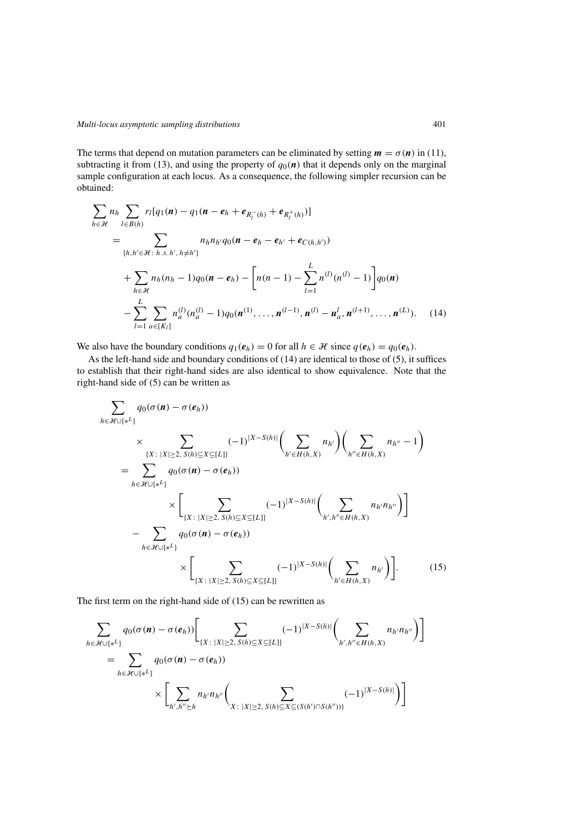<span id="page-10-0"></span>The terms that depend on mutation parameters can be eliminated by setting  $m = \sigma(n)$  in [\(11\)](#page-9-0), subtracting it from [\(13\)](#page-9-0), and using the property of  $q_0(n)$  that it depends only on the marginal sample configuration at each locus. As a consequence, the following simpler recursion can be obtained:

$$
\sum_{h \in \mathcal{H}} n_h \sum_{l \in B(h)} r_l [q_1(\mathbf{n}) - q_1(\mathbf{n} - \mathbf{e}_h + \mathbf{e}_{R_l^-(h)} + \mathbf{e}_{R_l^+(h)})]
$$
\n
$$
= \sum_{\{h, h' \in \mathcal{H} : h \perp h', h \neq h'\}} n_h n_{h'} q_0(\mathbf{n} - \mathbf{e}_h - \mathbf{e}_{h'} + \mathbf{e}_{C(h, h')})
$$
\n
$$
+ \sum_{h \in \mathcal{H}} n_h (n_h - 1) q_0(\mathbf{n} - \mathbf{e}_h) - \left[ n(n - 1) - \sum_{l=1}^L n^{(l)} (n^{(l)} - 1) \right] q_0(\mathbf{n})
$$
\n
$$
- \sum_{l=1}^L \sum_{a \in [K_l]} n_a^{(l)} (n_a^{(l)} - 1) q_0(\mathbf{n}^{(1)}, \dots, \mathbf{n}^{(l-1)}, \mathbf{n}^{(l)} - \mathbf{u}_a^l, \mathbf{n}^{(l+1)}, \dots, \mathbf{n}^{(L)}).
$$
\n(14)

We also have the boundary conditions  $q_1(e_h) = 0$  for all  $h \in \mathcal{H}$  since  $q(e_h) = q_0(e_h)$ .

As the left-hand side and boundary conditions of (14) are identical to those of [\(5\)](#page-5-0), it suffices to establish that their right-hand sides are also identical to show equivalence. Note that the right-hand side of [\(5\)](#page-5-0) can be written as

$$
\sum_{h \in \mathcal{H} \cup \{\ast^L\}} q_0(\sigma(\mathbf{n}) - \sigma(e_h))
$$
\n
$$
\times \sum_{\{X : |X| \ge 2, S(h) \subseteq X \subseteq [L]\}} (-1)^{|X - S(h)|} \left( \sum_{h' \in H(h,X)} n_{h'} \right) \left( \sum_{h'' \in H(h,X)} n_{h''} - 1 \right)
$$
\n
$$
= \sum_{h \in \mathcal{H} \cup \{\ast^L\}} q_0(\sigma(\mathbf{n}) - \sigma(e_h))
$$
\n
$$
\times \left[ \sum_{\{X : |X| \ge 2, S(h) \subseteq X \subseteq [L]\}} (-1)^{|X - S(h)|} \left( \sum_{h', h'' \in H(h,X)} n_{h'} n_{h''} \right) \right]
$$
\n
$$
- \sum_{h \in \mathcal{H} \cup \{\ast^L\}} q_0(\sigma(\mathbf{n}) - \sigma(e_h))
$$
\n
$$
\times \left[ \sum_{\{X : |X| \ge 2, S(h) \subseteq X \subseteq [L]\}} (-1)^{|X - S(h)|} \left( \sum_{h' \in H(h,X)} n_{h'} \right) \right].
$$
\n(15)

The first term on the right-hand side of (15) can be rewritten as

$$
\sum_{h \in \mathcal{H} \cup \{\ast^L\}} q_0(\sigma(n) - \sigma(e_h)) \Bigg[ \sum_{\{X : \ |X| \ge 2, \ S(h) \subseteq X \subseteq [L]\}} (-1)^{|X - S(h)|} \Big( \sum_{h', h'' \in H(h, X)} n_{h'} n_{h''} \Big) \Bigg]
$$
\n
$$
= \sum_{h \in \mathcal{H} \cup \{\ast^L\}} q_0(\sigma(n) - \sigma(e_h)) \times \Bigg[ \sum_{h', h'' \ge h} n_{h'} n_{h''} \Big( \sum_{X : \ |X| \ge 2, \ S(h) \subseteq X \subseteq (S(h') \cap S(h''))} (-1)^{|X - S(h)|} \Big) \Bigg]
$$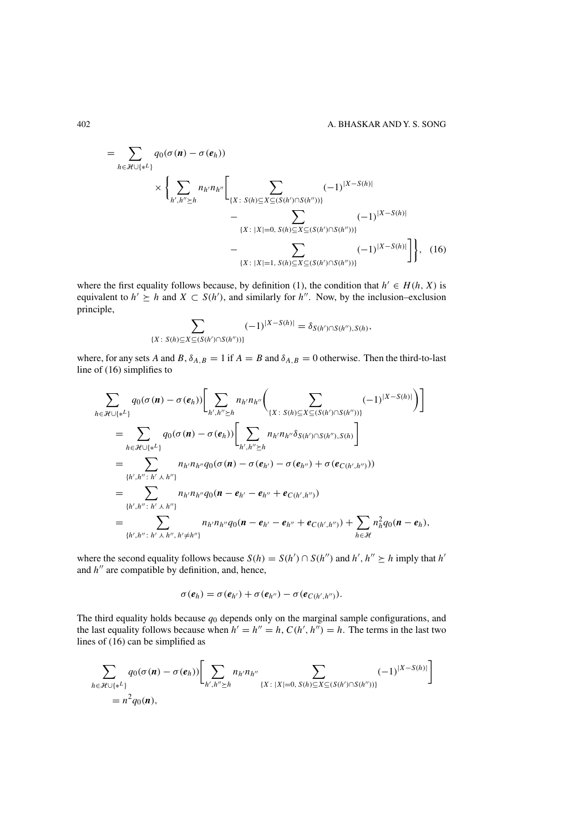<span id="page-11-0"></span>
$$
= \sum_{h \in \mathcal{H} \cup \{*^{L}\}} q_{0}(\sigma(n) - \sigma(e_{h}))
$$
  
 
$$
\times \left\{ \sum_{h', h'' \ge h} n_{h'} n_{h''} \left[ \sum_{\{X : S(h) \subseteq X \subseteq (S(h') \cap S(h''))\}} (-1)^{|X - S(h)|} \right. \right.\left. - \sum_{\{X : |X| = 0, S(h) \subseteq X \subseteq (S(h') \cap S(h''))\}} (-1)^{|X - S(h)|} \right\}, \quad (16)
$$

where the first equality follows because, by definition [\(1\)](#page-3-0), the condition that  $h' \in H(h, X)$  is equivalent to  $h' \geq h$  and  $X \subset S(h')$ , and similarly for  $h''$ . Now, by the inclusion–exclusion principle principle,

$$
\sum_{\{X:\ S(h)\subseteq X\subseteq (S(h')\cap S(h''))\}} (-1)^{|X-S(h)|} = \delta_{S(h')\cap S(h''),S(h)},
$$

where, for any sets *A* and *B*,  $\delta_{A,B} = 1$  if  $A = B$  and  $\delta_{A,B} = 0$  otherwise. Then the third-to-last line of (16) simplifies to

$$
\sum_{h \in \mathcal{H} \cup \{\ast^L\}} q_0(\sigma(\mathbf{n}) - \sigma(e_h)) \Biggl[ \sum_{h', h'' \succeq h} n_{h'} n_{h''} \Biggl( \sum_{\{X : S(h) \subseteq X \subseteq (S(h') \cap S(h''))\}} (-1)^{|X - S(h)|} \Biggr) \Biggr]
$$
\n
$$
= \sum_{h \in \mathcal{H} \cup \{\ast^L\}} q_0(\sigma(\mathbf{n}) - \sigma(e_h)) \Biggl[ \sum_{h', h'' \succeq h} n_{h'} n_{h''} \delta_{S(h') \cap S(h''), S(h)} \Biggr]
$$
\n
$$
= \sum_{\{h', h'' : h' \perp h''\}} n_{h'} n_{h''} q_0(\sigma(\mathbf{n}) - \sigma(e_{h'}) - \sigma(e_{h''}) + \sigma(e_{C(h', h'')}))
$$
\n
$$
= \sum_{\{h', h'' : h' \perp h''\}} n_{h'} n_{h''} q_0(\mathbf{n} - e_{h'} - e_{h''} + e_{C(h', h'')} )
$$
\n
$$
= \sum_{\{h', h'' : h' \perp h'', h' \neq h''\}} n_{h'} n_{h''} q_0(\mathbf{n} - e_{h'} - e_{h''} + e_{C(h', h'')} ) + \sum_{h \in \mathcal{H}} n_h^2 q_0(\mathbf{n} - e_h),
$$

where the second equality follows because  $S(h) = S(h') \cap S(h'')$  and  $h', h'' \succeq h$  imply that  $h'$ <br>and  $h''$  are compatible by definition, and, hence and *h*<sup>"</sup> are compatible by definition, and, hence,

$$
\sigma(e_h) = \sigma(e_{h'}) + \sigma(e_{h''}) - \sigma(e_{C(h',h'')}).
$$

The third equality holds because  $q_0$  depends only on the marginal sample configurations, and<br>the last equality follows because when  $h' = h'' - h'' C(h' / h'') = h$ . The terms in the last two the last equality follows because when  $h' = h'' = h$ ,  $C(h', h'') = h$ . The terms in the last two lines of (16) can be simplified as lines of (16) can be simplified as

$$
\sum_{h \in \mathcal{H} \cup \{*^L\}} q_0(\sigma(n) - \sigma(e_h)) \Biggl[ \sum_{h', h'' \succeq h} n_{h'} n_{h''} \sum_{\{X : |X| = 0, S(h) \subseteq X \subseteq (S(h') \cap S(h''))\}} (-1)^{|X - S(h)|} \Biggr]
$$
  
=  $n^2 q_0(n)$ ,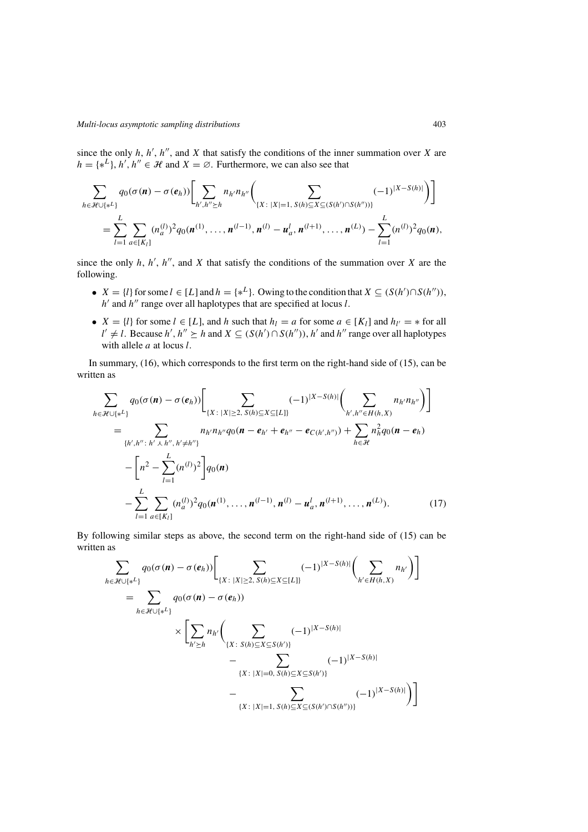<span id="page-12-0"></span>since the only *h*, *h'*, *h''*, and *X* that satisfy the conditions of the inner summation over *X* are  $h = \int x^L$ ,  $h' \cdot h'' \in \mathcal{H}$  and  $X = \emptyset$ . Eurthermore, we can also see that  $h = \{ *^L \}, h', h'' \in \mathcal{H}$  and  $X = \emptyset$ . Furthermore, we can also see that

$$
\sum_{h \in \mathcal{H} \cup \{*^L\}} q_0(\sigma(\mathbf{n}) - \sigma(e_h)) \Biggl[ \sum_{h', h'' \ge h} n_{h'} n_{h''} \Biggl( \sum_{\{X : |X| = 1, S(h) \subseteq X \subseteq (S(h') \cap S(h''))\}} (-1)^{|X - S(h)|} \Biggr) \Biggr] \n= \sum_{l=1}^L \sum_{a \in [K_l]} (n_a^{(l)})^2 q_0(\mathbf{n}^{(1)}, \dots, \mathbf{n}^{(l-1)}, \mathbf{n}^{(l)} - \mathbf{u}_a^l, \mathbf{n}^{(l+1)}, \dots, \mathbf{n}^{(L)}) - \sum_{l=1}^L (n^{(l)})^2 q_0(\mathbf{n}),
$$

since the only *h*, *h'*, *h''*, and *X* that satisfy the conditions of the summation over *X* are the following following.

- $X = \{l\}$  for some  $l \in [L]$  and  $h = \{*_l\}$ . Owing to the condition that  $X \subseteq (S(h') \cap S(h''))$ ,  $h'$  and  $h''$  range over all happotypes that are specified at locus  $l$  $h'$  and  $h''$  range over all haplotypes that are specified at locus *l*.
- $X = \{l\}$  for some  $l \in [L]$ , and *h* such that  $h_l = a$  for some  $a \in [K_l]$  and  $h_{l'} = *$  for all with allele *a* at locus *l*.  $\alpha'$  ≠ *l*. Because *h*<sup>'</sup>, *h*<sup>"</sup> ≥ *h* and *X* ⊆ (*S*(*h*<sup>'</sup>) ∩ *S*(*h*<sup>"</sup>)), *h*<sup>'</sup> and *h*<sup>"</sup> range over all haplotypes with allele *a* at locus *l*

In summary, [\(16\)](#page-11-0), which corresponds to the first term on the right-hand side of [\(15\)](#page-10-0), can be written as

$$
\sum_{h \in \mathcal{H} \cup \{\ast^L\}} q_0(\sigma(\mathbf{n}) - \sigma(e_h)) \Biggl[ \sum_{\{X : |X| \ge 2, S(h) \subseteq X \subseteq [L]\}} (-1)^{|X - S(h)|} \Biggl( \sum_{h', h'' \in H(h, X)} n_{h'} n_{h''} \Biggr) \Biggr] \n= \sum_{\{h', h'' : h' \ne h'', h' \ne h''\}} n_{h'} n_{h''} q_0(\mathbf{n} - e_{h'} + e_{h''} - e_{C(h', h'')} ) + \sum_{h \in \mathcal{H}} n_h^2 q_0(\mathbf{n} - e_h) \n- \Biggl[ n^2 - \sum_{l=1}^L (n^{(l)})^2 \Biggr] q_0(\mathbf{n}) \n- \sum_{l=1}^L \sum_{a \in [K_l]} (n_a^{(l)})^2 q_0(\mathbf{n}^{(1)}, \dots, \mathbf{n}^{(l-1)}, \mathbf{n}^{(l)} - \mathbf{u}_a^l, \mathbf{n}^{(l+1)}, \dots, \mathbf{n}^{(L)}). \tag{17}
$$

By following similar steps as above, the second term on the right-hand side of [\(15\)](#page-10-0) can be written as

$$
\sum_{h \in \mathcal{H} \cup \{*^{L}\}} q_{0}(\sigma(n) - \sigma(e_{h})) \Biggl[ \sum_{\{X \colon |X| \ge 2, S(h) \subseteq X \subseteq [L]\}} (-1)^{|X - S(h)|} \Biggl( \sum_{h' \in H(h, X)} n_{h'} \Biggr) \Biggr] \n= \sum_{h \in \mathcal{H} \cup \{*^{L}\}} q_{0}(\sigma(n) - \sigma(e_{h})) \n\times \Biggl[ \sum_{h' \ge h} n_{h'} \Biggl( \sum_{\{X \colon S(h) \subseteq X \subseteq S(h')\}} (-1)^{|X - S(h)|} \n- \sum_{\{X \colon |X| = 0, S(h) \subseteq X \subseteq S(h')\}} (-1)^{|X - S(h)|} \n- \sum_{\{X \colon |X| = 1, S(h) \subseteq X \subseteq (S(h') \cap S(h''))\}} (-1)^{|X - S(h)|} \Biggr) \Biggr]
$$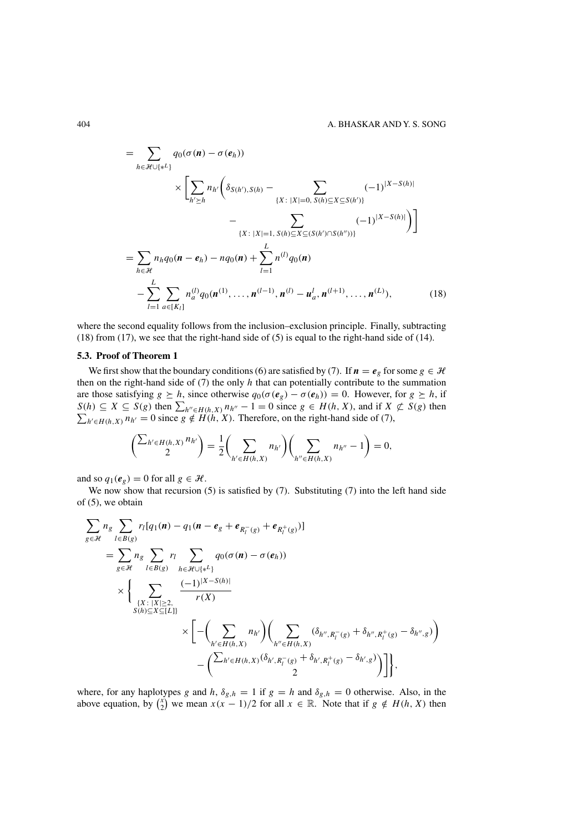<span id="page-13-0"></span>
$$
= \sum_{h \in \mathcal{H} \cup \{*^{L}\}} q_{0}(\sigma(\mathbf{n}) - \sigma(e_{h}))
$$
  
\n
$$
\times \left[ \sum_{h' \geq h} n_{h'} \left( \delta_{S(h'),S(h)} - \sum_{\{X : |X| = 0, S(h) \subseteq X \subseteq S(h')\}} (-1)^{|X - S(h)|} \right) \right]
$$
  
\n
$$
- \sum_{\{X : |X| = 1, S(h) \subseteq X \subseteq (S(h') \cap S(h''))\}} (-1)^{|X - S(h)|} \right]
$$
  
\n
$$
= \sum_{h \in \mathcal{H}} n_{h} q_{0}(\mathbf{n} - e_{h}) - n q_{0}(\mathbf{n}) + \sum_{l=1}^{L} n_{l}^{(l)} q_{0}(\mathbf{n})
$$
  
\n
$$
- \sum_{l=1}^{L} \sum_{a \in [K_{l}]} n_{a}^{(l)} q_{0}(\mathbf{n}^{(1)}, \dots, \mathbf{n}^{(l-1)}, \mathbf{n}^{(l)} - \mathbf{u}_{a}', \mathbf{n}^{(l+1)}, \dots, \mathbf{n}^{(L)}), \qquad (18)
$$

where the second equality follows from the inclusion–exclusion principle. Finally, subtracting (18) from [\(17\)](#page-12-0), we see that the right-hand side of [\(5\)](#page-5-0) is equal to the right-hand side of [\(14\)](#page-10-0).

#### **5.3. Proof of Theorem [1](#page-5-0)**

We first show that the boundary conditions [\(6\)](#page-5-0) are satisfied by [\(7\)](#page-5-0). If  $n = e_g$  for some  $g \in \mathcal{H}$ then on the right-hand side of [\(7\)](#page-5-0) the only *h* that can potentially contribute to the summation are those satisfying  $g \geq h$ , since otherwise  $q_0(\sigma(e_g) - \sigma(e_h)) = 0$ . However, for  $g \geq h$ , if *S(h)* ⊆ *X* ⊆ *S(g)* then  $\sum_{h'' \in H(h,X)} n_{h''} - 1 = 0$  since *g* ∈ *H(h, X)*, and if *X* ⊄ *S(g)* then  $\sum_{h' \in H(h,X)} n_{h'} = 0$  since *g* ∉ *H(h, X)*. Therefore, on the right-hand side of (7),  $h' \in H(h, X)$   $n_{h'} = 0$  since  $g \notin H(h, X)$ . Therefore, on the right-hand side of [\(7\)](#page-5-0),

$$
\left(\frac{\sum_{h' \in H(h,X)} n_{h'}}{2}\right) = \frac{1}{2} \left(\sum_{h' \in H(h,X)} n_{h'}\right) \left(\sum_{h'' \in H(h,X)} n_{h''} - 1\right) = 0,
$$

and so  $q_1(e_g) = 0$  for all  $g \in \mathcal{H}$ .

We now show that recursion  $(5)$  is satisfied by  $(7)$ . Substituting  $(7)$  into the left hand side of [\(5\)](#page-5-0), we obtain

$$
\sum_{g \in \mathcal{H}} n_g \sum_{l \in B(g)} r_l [q_1(n) - q_1(n - e_g + e_{R_l^-(g)} + e_{R_l^+(g)})]
$$
\n
$$
= \sum_{g \in \mathcal{H}} n_g \sum_{l \in B(g)} r_l \sum_{h \in \mathcal{H} \cup \{*^L\}} q_0(\sigma(n) - \sigma(e_h))
$$
\n
$$
\times \left\{ \sum_{\substack{\{X : |X| \ge 2, \\ S(h) \subseteq X \subseteq [L]\}}} \frac{(-1)^{|X - S(h)|}}{r(X)} \right\}
$$
\n
$$
\times \left[ - \left( \sum_{h' \in H(h,X)} n_{h'} \right) \left( \sum_{h'' \in H(h,X)} (\delta_{h'',R_l^-(g)} + \delta_{h'',R_l^+(g)} - \delta_{h'',g}) \right) - \left( \sum_{h' \in H(h,X)} (\delta_{h',R_l^-(g)} + \delta_{h',R_l^+(g)} - \delta_{h',g}) \right) \right],
$$

where, for any haplotypes *g* and *h*,  $\delta_{g,h} = 1$  if  $g = h$  and  $\delta_{g,h} = 0$  otherwise. Also, in the above equation, by  $\binom{x}{2}$  we mean  $x(x - 1)/2$  for all  $x \in \mathbb{R}$ . Note that if  $g \notin H(h, X)$  then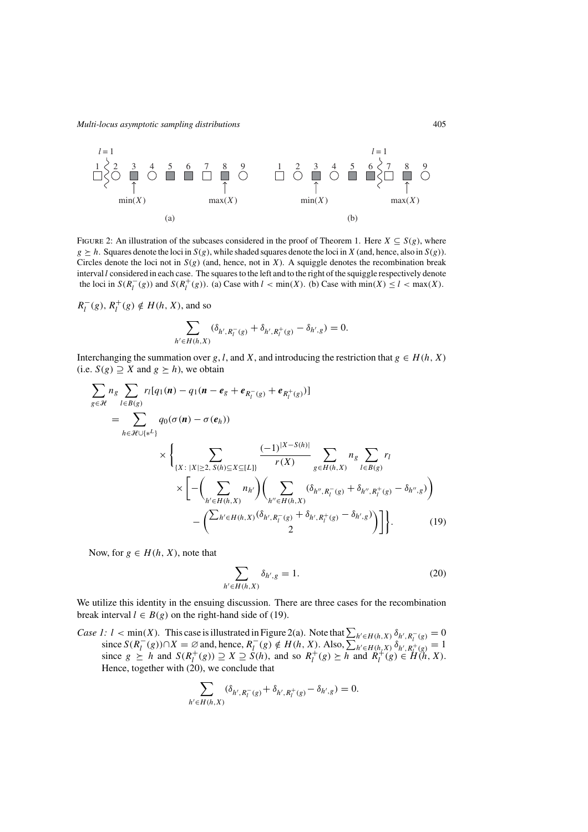<span id="page-14-0"></span>

FIGURE 2: An illustration of the subcases considered in the proof of Theorem [1.](#page-5-0) Here  $X \subseteq S(g)$ , where  $g \geq h$ . Squares denote the loci in  $S(g)$ , while shaded squares denote the loci in *X* (and, hence, also in *S(g)*). Circles denote the loci not in  $S(g)$  (and, hence, not in *X*). A squiggle denotes the recombination break interval *l* considered in each case. The squares to the left and to the right of the squiggle respectively denote the loci in  $S(R_l^-(g))$  and  $S(R_l^+(g))$ . (a) Case with  $l < min(X)$ . (b) Case with  $min(X) \le l < max(X)$ .

$$
R_l^-(g), R_l^+(g) \notin H(h, X), \text{ and so}
$$

$$
\sum_{h' \in H(h,X)} (\delta_{h',R_l^-(g)} + \delta_{h',R_l^+(g)} - \delta_{h',g}) = 0.
$$

Interchanging the summation over *g*, *l*, and *X*, and introducing the restriction that  $g \in H(h, X)$ (i.e. *S*(*g*)  $\supseteq$  *X* and *g*  $\geq$  *h*), we obtain

$$
\sum_{g \in \mathcal{H}} n_g \sum_{l \in B(g)} r_l [q_1(\mathbf{n}) - q_1(\mathbf{n} - \mathbf{e}_g + \mathbf{e}_{R_l^-(g)} + \mathbf{e}_{R_l^+(g)})]
$$
\n
$$
= \sum_{h \in \mathcal{H} \cup \{*\}} q_0(\sigma(\mathbf{n}) - \sigma(\mathbf{e}_h))
$$
\n
$$
\times \left\{ \sum_{\{X : |X| \ge 2, S(h) \subseteq X \subseteq [L]\}} \frac{(-1)^{|X - S(h)|}}{r(X)} \sum_{g \in H(h,X)} n_g \sum_{l \in B(g)} r_l \right\}
$$
\n
$$
\times \left[ - \left( \sum_{h' \in H(h,X)} n_{h'} \right) \left( \sum_{h'' \in H(h,X)} (\delta_{h'', R_l^-(g)} + \delta_{h'', R_l^+(g)} - \delta_{h'', g}) \right) - \left( \sum_{h' \in H(h,X)} (\delta_{h', R_l^-(g)} + \delta_{h', R_l^+(g)} - \delta_{h', g}) \right) \right].
$$
\n(19)

Now, for  $g \in H(h, X)$ , note that

$$
\sum_{h' \in H(h,X)} \delta_{h',g} = 1. \tag{20}
$$

We utilize this identity in the ensuing discussion. There are three cases for the recombination break interval  $l \in B(g)$  on the right-hand side of (19).

*Case 1:*  $l < \min(X)$ *.* This case is illustrated in Figure 2(a). Note that  $\sum_{h' \in H(h,X)} \delta_{h',R_{\ell}^{-}}(g) = 0$  since  $S(R_{\ell}^{-}(g)) \cap X = \emptyset$  and, hence,  $R_{\ell}^{-}(g) \notin H(h,X)$ . Also,  $\sum_{h' \in H(h,X)} \delta_{h',R_{\ell}^{-}}(g) = 1$ since  $S(R_l^-(g)) \cap X = \emptyset$  and, hence,  $R_l^-(g) \notin H(h, X)$ . Also,  $\sum_{h' \in H(h, X)}^{h} \delta_{h', R_l^+(g)} = 1$ <br>since  $g \succ h$  and  $S(R_l^+(g)) \supset X \supset S(h)$ , and so  $R_l^+(g) \succ h$  and  $R_l^+(g) \in H(h, X)$ . since  $g \succeq h$  and  $S(R_l^+(g)) \supseteq X \supseteq S(h)$ , and so  $R_l^+(g) \succeq h$  and  $R_l^+(g) \in H(h, X)$ .<br>Hence together with (20) we conclude that Hence, together with (20), we conclude that

$$
\sum_{h' \in H(h,X)} (\delta_{h',R_l^-(g)} + \delta_{h',R_l^+(g)} - \delta_{h',g}) = 0.
$$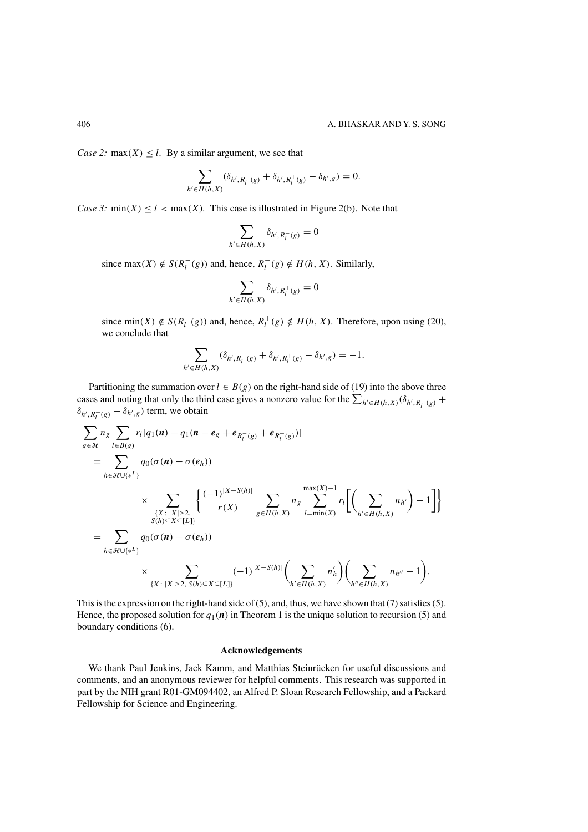*Case 2:* max $(X) \leq l$ . By a similar argument, we see that

$$
\sum_{h' \in H(h,X)} (\delta_{h',R_l^-(g)} + \delta_{h',R_l^+(g)} - \delta_{h',g}) = 0.
$$

*Case 3:* min $(X) \leq l < \max(X)$ *.* This case is illustrated in Figure [2\(](#page-14-0)b). Note that

$$
\sum_{h' \in H(h,X)} \delta_{h',R_l^-(g)} = 0
$$

since max $(X) \notin S(R_l^-(g))$  and, hence,  $R_l^-(g) \notin H(h, X)$ . Similarly,

$$
\sum_{h' \in H(h,X)} \delta_{h',R_l^+(g)} = 0
$$

since min(X)  $\notin S(R_l^+(g))$  and, hence,  $R_l^+(g) \notin H(h, X)$ . Therefore, upon using [\(20\)](#page-14-0), we conclude that we conclude that

$$
\sum_{h' \in H(h,X)} (\delta_{h',R_l^-(g)} + \delta_{h',R_l^+(g)} - \delta_{h',g}) = -1.
$$

Partitioning the summation over  $l \in B(g)$  on the right-hand side of [\(19\)](#page-14-0) into the above three cases and noting that only the third case gives a nonzero value for the  $\sum_{h' \in H(h,X)} (\delta_{h',R_l^-(g)} + \delta_{h',h'} \delta_{h',R_l^-(g)})$  term, we obtain  $\delta_{h', R_l^+(g)} - \delta_{h', g}$  term, we obtain

$$
\sum_{g \in \mathcal{H}} n_g \sum_{l \in B(g)} r_l [q_1(\mathbf{n}) - q_1(\mathbf{n} - \mathbf{e}_g + \mathbf{e}_{R_l^-(g)} + \mathbf{e}_{R_l^+(g)})]
$$
\n
$$
= \sum_{h \in \mathcal{H} \cup \{*\}} q_0(\sigma(\mathbf{n}) - \sigma(\mathbf{e}_h))
$$
\n
$$
\times \sum_{\substack{\{X : |X| \ge 2, \ X \subseteq [L]\}}} \left\{ \frac{(-1)^{|X - S(h)|}}{r(X)} \sum_{g \in H(h,X)} n_g \sum_{l = \min(X)}^{max(X) - 1} r_l \left[ \left( \sum_{h' \in H(h,X)} n_{h'} \right) - 1 \right] \right\}
$$
\n
$$
= \sum_{h \in \mathcal{H} \cup \{*\}} q_0(\sigma(\mathbf{n}) - \sigma(\mathbf{e}_h))
$$
\n
$$
\times \sum_{\{X : |X| \ge 2, S(h) \subseteq X \subseteq [L]\}} (-1)^{|X - S(h)|} \left( \sum_{h' \in H(h,X)} n'_h \right) \left( \sum_{h'' \in H(h,X)} n_{h''} - 1 \right).
$$

This is the expression on the right-hand side of [\(5\)](#page-5-0), and, thus, we have shown that [\(7\)](#page-5-0) satisfies [\(5\)](#page-5-0). Hence, the proposed solution for  $q_1(n)$  in Theorem [1](#page-5-0) is the unique solution to recursion [\(5\)](#page-5-0) and boundary conditions [\(6\)](#page-5-0).

## **Acknowledgements**

We thank Paul Jenkins, Jack Kamm, and Matthias Steinrücken for useful discussions and comments, and an anonymous reviewer for helpful comments. This research was supported in part by the NIH grant R01-GM094402, an Alfred P. Sloan Research Fellowship, and a Packard Fellowship for Science and Engineering.